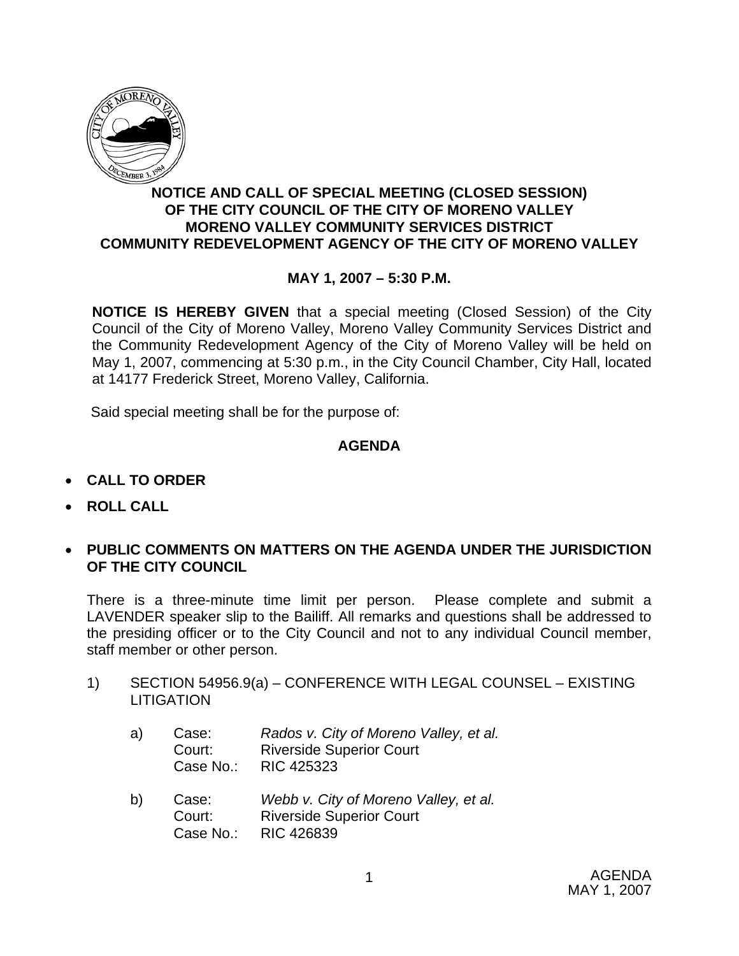

## **NOTICE AND CALL OF SPECIAL MEETING (CLOSED SESSION) OF THE CITY COUNCIL OF THE CITY OF MORENO VALLEY MORENO VALLEY COMMUNITY SERVICES DISTRICT COMMUNITY REDEVELOPMENT AGENCY OF THE CITY OF MORENO VALLEY**

## **MAY 1, 2007 – 5:30 P.M.**

**NOTICE IS HEREBY GIVEN** that a special meeting (Closed Session) of the City Council of the City of Moreno Valley, Moreno Valley Community Services District and the Community Redevelopment Agency of the City of Moreno Valley will be held on May 1, 2007, commencing at 5:30 p.m., in the City Council Chamber, City Hall, located at 14177 Frederick Street, Moreno Valley, California.

Said special meeting shall be for the purpose of:

#### **AGENDA**

- **CALL TO ORDER**
- **ROLL CALL**
- **PUBLIC COMMENTS ON MATTERS ON THE AGENDA UNDER THE JURISDICTION OF THE CITY COUNCIL**

There is a three-minute time limit per person. Please complete and submit a LAVENDER speaker slip to the Bailiff. All remarks and questions shall be addressed to the presiding officer or to the City Council and not to any individual Council member, staff member or other person.

1) SECTION 54956.9(a) – CONFERENCE WITH LEGAL COUNSEL – EXISTING **LITIGATION** 

| a) | Case:     | Rados v. City of Moreno Valley, et al. |
|----|-----------|----------------------------------------|
|    | Court:    | <b>Riverside Superior Court</b>        |
|    | Case No.: | RIC 425323                             |

b) Case: *Webb v. City of Moreno Valley, et al.*  Court: Riverside Superior Court Case No.: RIC 426839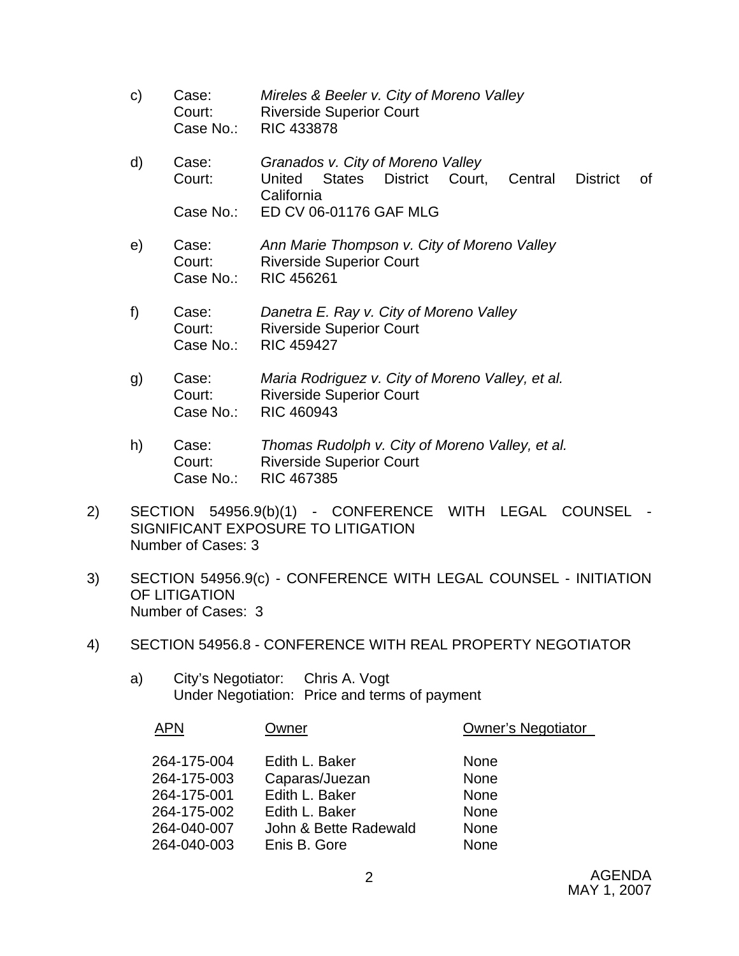- c) Case: *Mireles & Beeler v. City of Moreno Valley*  Court: Riverside Superior Court Case No.: RIC 433878
- d) Case: *Granados v. City of Moreno Valley* Court: United States District Court, Central District of California Case No.: ED CV 06-01176 GAF MLG
- e) Case: *Ann Marie Thompson v. City of Moreno Valley* Court: Riverside Superior Court Case No.: RIC 456261
- f) Case: *Danetra E. Ray v. City of Moreno Valley* Court: Riverside Superior Court Case No.: RIC 459427
- g) Case: *Maria Rodriguez v. City of Moreno Valley, et al.* Court: Riverside Superior Court Case No.: RIC 460943
- h) Case: *Thomas Rudolph v. City of Moreno Valley, et al.*  Court: Riverside Superior Court Case No.: RIC 467385
- 2) SECTION 54956.9(b)(1) CONFERENCE WITH LEGAL COUNSEL SIGNIFICANT EXPOSURE TO LITIGATION Number of Cases: 3
- 3) SECTION 54956.9(c) CONFERENCE WITH LEGAL COUNSEL INITIATION OF LITIGATION Number of Cases: 3
- 4) SECTION 54956.8 CONFERENCE WITH REAL PROPERTY NEGOTIATOR
	- a) City's Negotiator: Chris A. Vogt Under Negotiation: Price and terms of payment

| <b>APN</b>  | Owner                 | <b>Owner's Negotiator</b> |
|-------------|-----------------------|---------------------------|
|             |                       |                           |
| 264-175-004 | Edith L. Baker        | <b>None</b>               |
| 264-175-003 | Caparas/Juezan        | <b>None</b>               |
| 264-175-001 | Edith L. Baker        | <b>None</b>               |
| 264-175-002 | Edith L. Baker        | <b>None</b>               |
| 264-040-007 | John & Bette Radewald | None                      |
| 264-040-003 | Enis B. Gore          | <b>None</b>               |
|             |                       |                           |